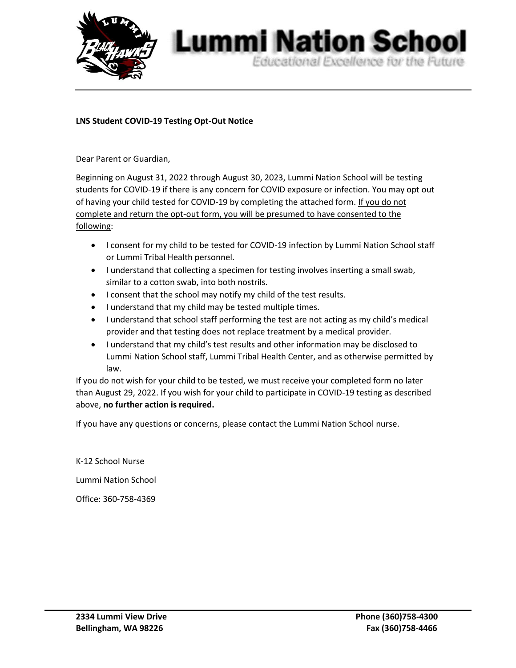

## **LNS Student COVID-19 Testing Opt-Out Notice**

Dear Parent or Guardian,

Beginning on August 31, 2022 through August 30, 2023, Lummi Nation School will be testing students for COVID-19 if there is any concern for COVID exposure or infection. You may opt out of having your child tested for COVID-19 by completing the attached form. If you do not complete and return the opt-out form, you will be presumed to have consented to the following:

**Lummi Nation School** 

Educational Excellence for the Future

- I consent for my child to be tested for COVID-19 infection by Lummi Nation School staff or Lummi Tribal Health personnel.
- I understand that collecting a specimen for testing involves inserting a small swab, similar to a cotton swab, into both nostrils.
- I consent that the school may notify my child of the test results.
- I understand that my child may be tested multiple times.
- I understand that school staff performing the test are not acting as my child's medical provider and that testing does not replace treatment by a medical provider.
- I understand that my child's test results and other information may be disclosed to Lummi Nation School staff, Lummi Tribal Health Center, and as otherwise permitted by law.

If you do not wish for your child to be tested, we must receive your completed form no later than August 29, 2022. If you wish for your child to participate in COVID-19 testing as described above, **no further action is required.**

If you have any questions or concerns, please contact the Lummi Nation School nurse.

K-12 School Nurse

Lummi Nation School

Office: 360-758-4369